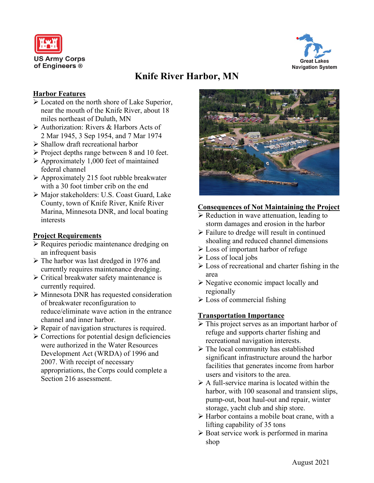



# **Knife River Harbor, MN**

### **Harbor Features**

- Located on the north shore of Lake Superior, near the mouth of the Knife River, about 18 miles northeast of Duluth, MN
- Authorization: Rivers & Harbors Acts of 2 Mar 1945, 3 Sep 1954, and 7 Mar 1974
- Shallow draft recreational harbor
- $\triangleright$  Project depths range between 8 and 10 feet.
- $\triangleright$  Approximately 1,000 feet of maintained federal channel
- $\triangleright$  Approximately 215 foot rubble breakwater with a 30 foot timber crib on the end
- Major stakeholders: U.S. Coast Guard, Lake County, town of Knife River, Knife River Marina, Minnesota DNR, and local boating interests

## **Project Requirements**

- $\triangleright$  Requires periodic maintenance dredging on an infrequent basis
- The harbor was last dredged in 1976 and currently requires maintenance dredging.
- Critical breakwater safety maintenance is currently required.
- Minnesota DNR has requested consideration of breakwater reconfiguration to reduce/eliminate wave action in the entrance channel and inner harbor.
- $\triangleright$  Repair of navigation structures is required.
- $\triangleright$  Corrections for potential design deficiencies were authorized in the Water Resources Development Act (WRDA) of 1996 and 2007. With receipt of necessary appropriations, the Corps could complete a Section 216 assessment.



## **Consequences of Not Maintaining the Project**

- $\triangleright$  Reduction in wave attenuation, leading to storm damages and erosion in the harbor
- Failure to dredge will result in continued shoaling and reduced channel dimensions
- $\triangleright$  Loss of important harbor of refuge
- $\triangleright$  Loss of local jobs
- $\triangleright$  Loss of recreational and charter fishing in the area
- $\triangleright$  Negative economic impact locally and regionally
- $\triangleright$  Loss of commercial fishing

### **Transportation Importance**

- $\triangleright$  This project serves as an important harbor of refuge and supports charter fishing and recreational navigation interests.
- $\triangleright$  The local community has established significant infrastructure around the harbor facilities that generates income from harbor users and visitors to the area.
- $\triangleright$  A full-service marina is located within the harbor, with 100 seasonal and transient slips, pump-out, boat haul-out and repair, winter storage, yacht club and ship store.
- $\triangleright$  Harbor contains a mobile boat crane, with a lifting capability of 35 tons
- $\triangleright$  Boat service work is performed in marina shop